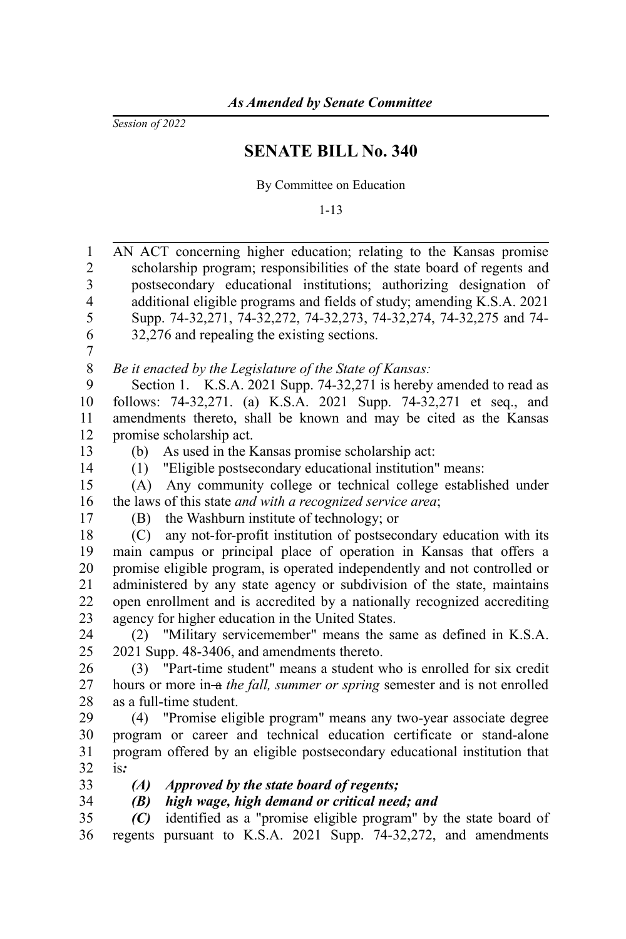*Session of 2022*

## **SENATE BILL No. 340**

By Committee on Education

1-13

AN ACT concerning higher education; relating to the Kansas promise scholarship program; responsibilities of the state board of regents and postsecondary educational institutions; authorizing designation of additional eligible programs and fields of study; amending K.S.A. 2021 Supp. 74-32,271, 74-32,272, 74-32,273, 74-32,274, 74-32,275 and 74- 32,276 and repealing the existing sections. *Be it enacted by the Legislature of the State of Kansas:* Section 1. K.S.A. 2021 Supp. 74-32,271 is hereby amended to read as follows: 74-32,271. (a) K.S.A. 2021 Supp. 74-32,271 et seq., and amendments thereto, shall be known and may be cited as the Kansas promise scholarship act. (b) As used in the Kansas promise scholarship act: (1) "Eligible postsecondary educational institution" means: (A) Any community college or technical college established under the laws of this state *and with a recognized service area*; (B) the Washburn institute of technology; or (C) any not-for-profit institution of postsecondary education with its main campus or principal place of operation in Kansas that offers a promise eligible program, is operated independently and not controlled or administered by any state agency or subdivision of the state, maintains open enrollment and is accredited by a nationally recognized accrediting agency for higher education in the United States. (2) "Military servicemember" means the same as defined in K.S.A. 2021 Supp. 48-3406, and amendments thereto. (3) "Part-time student" means a student who is enrolled for six credit hours or more in-a *the fall, summer or spring* semester and is not enrolled as a full-time student. (4) "Promise eligible program" means any two-year associate degree program or career and technical education certificate or stand-alone program offered by an eligible postsecondary educational institution that is*: (A) Approved by the state board of regents; (B) high wage, high demand or critical need; and (C)* identified as a "promise eligible program" by the state board of regents pursuant to K.S.A. 2021 Supp. 74-32,272, and amendments 1 2 3 4 5 6 7 8 9 10 11 12 13 14 15 16 17 18 19 20 21 22 23 24 25 26 27 28 29 30 31 32 33 34 35 36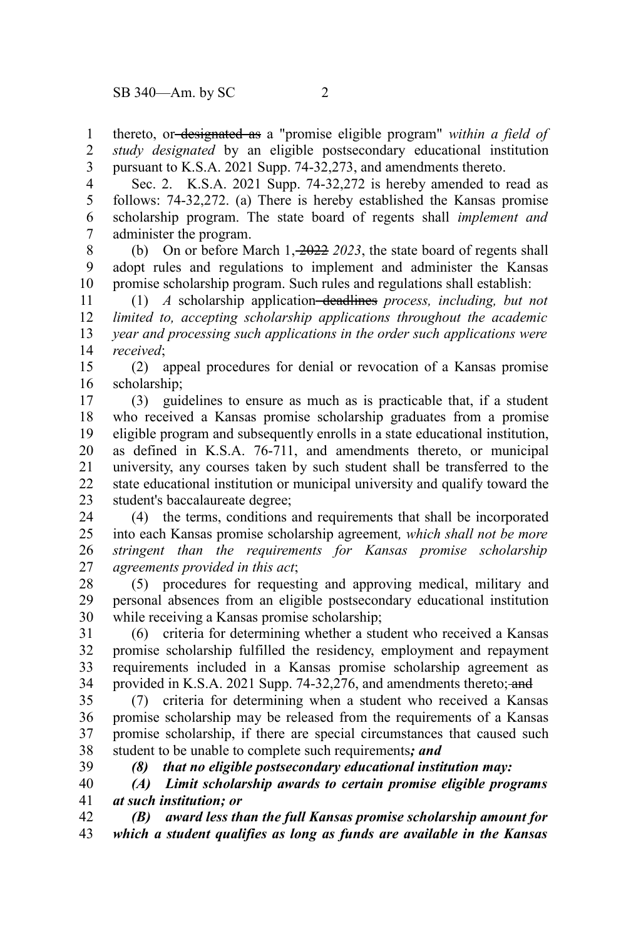39

thereto, or designated as a "promise eligible program" *within a field of study designated* by an eligible postsecondary educational institution pursuant to K.S.A. 2021 Supp. 74-32,273, and amendments thereto. 1 2 3

Sec. 2. K.S.A. 2021 Supp. 74-32,272 is hereby amended to read as follows: 74-32,272. (a) There is hereby established the Kansas promise scholarship program. The state board of regents shall *implement and* administer the program. 4 5 6 7

(b) On or before March 1, 2022 *2023*, the state board of regents shall adopt rules and regulations to implement and administer the Kansas promise scholarship program. Such rules and regulations shall establish: 8 9 10

(1) *A* scholarship application deadlines *process, including, but not limited to, accepting scholarship applications throughout the academic year and processing such applications in the order such applications were received*; 11 12 13 14

(2) appeal procedures for denial or revocation of a Kansas promise scholarship; 15 16

(3) guidelines to ensure as much as is practicable that, if a student who received a Kansas promise scholarship graduates from a promise eligible program and subsequently enrolls in a state educational institution, as defined in K.S.A. 76-711, and amendments thereto, or municipal university, any courses taken by such student shall be transferred to the state educational institution or municipal university and qualify toward the student's baccalaureate degree; 17 18 19 20 21 22 23

(4) the terms, conditions and requirements that shall be incorporated into each Kansas promise scholarship agreement*, which shall not be more stringent than the requirements for Kansas promise scholarship agreements provided in this act*; 24 25 26 27

(5) procedures for requesting and approving medical, military and personal absences from an eligible postsecondary educational institution while receiving a Kansas promise scholarship; 28 29 30

(6) criteria for determining whether a student who received a Kansas promise scholarship fulfilled the residency, employment and repayment requirements included in a Kansas promise scholarship agreement as provided in K.S.A. 2021 Supp. 74-32,276, and amendments thereto; and 31 32 33 34

(7) criteria for determining when a student who received a Kansas promise scholarship may be released from the requirements of a Kansas promise scholarship, if there are special circumstances that caused such student to be unable to complete such requirements*; and* 35 36 37 38

*(8) that no eligible postsecondary educational institution may:*

*(A) Limit scholarship awards to certain promise eligible programs at such institution; or*  40 41

*(B) award less than the full Kansas promise scholarship amount for which a student qualifies as long as funds are available in the Kansas* 42 43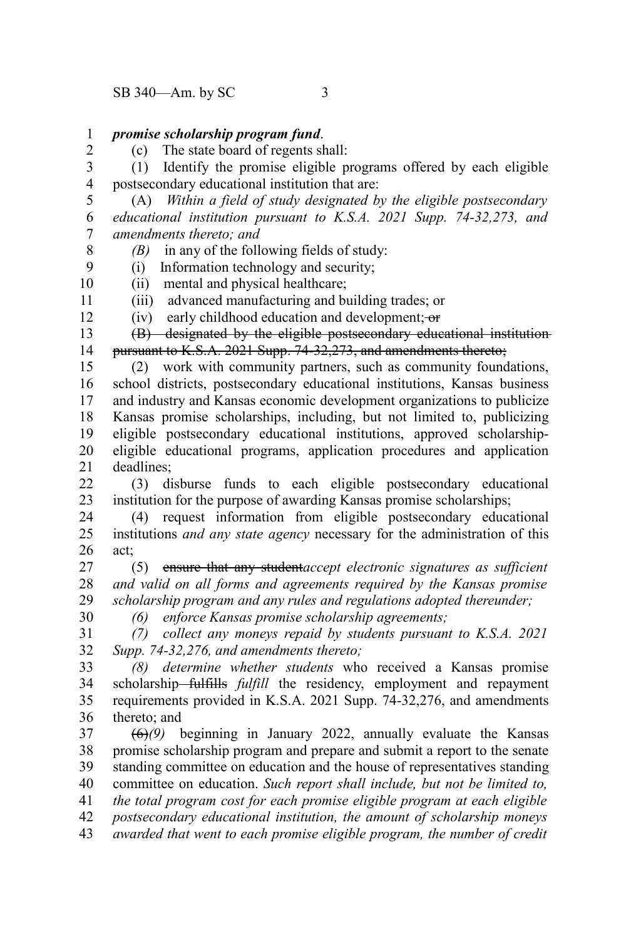## *promise scholarship program fund*. 1

(c) The state board of regents shall:

(1) Identify the promise eligible programs offered by each eligible postsecondary educational institution that are: 3 4

(A) *Within a field of study designated by the eligible postsecondary educational institution pursuant to K.S.A. 2021 Supp. 74-32,273, and amendments thereto; and* 5 6 7

*(B)* in any of the following fields of study:

(i) Information technology and security;

(ii) mental and physical healthcare;

(iii) advanced manufacturing and building trades; or

(iv) early childhood education and development;  $-$ or

(B) designated by the eligible postsecondary educational institution pursuant to K.S.A. 2021 Supp. 74-32,273, and amendments thereto; 13 14

(2) work with community partners, such as community foundations, school districts, postsecondary educational institutions, Kansas business and industry and Kansas economic development organizations to publicize Kansas promise scholarships, including, but not limited to, publicizing eligible postsecondary educational institutions, approved scholarshipeligible educational programs, application procedures and application deadlines; 15 16 17 18 19 20 21

(3) disburse funds to each eligible postsecondary educational institution for the purpose of awarding Kansas promise scholarships;  $22$ 23

(4) request information from eligible postsecondary educational institutions *and any state agency* necessary for the administration of this act; 24 25 26

(5) ensure that any student*accept electronic signatures as sufficient and valid on all forms and agreements required by the Kansas promise scholarship program and any rules and regulations adopted thereunder;* 27 28 29

*(6) enforce Kansas promise scholarship agreements;* 30

*(7) collect any moneys repaid by students pursuant to K.S.A. 2021 Supp. 74-32,276, and amendments thereto;* 31 32

*(8) determine whether students* who received a Kansas promise scholarship-fulfills *fulfill* the residency, employment and repayment requirements provided in K.S.A. 2021 Supp. 74-32,276, and amendments thereto; and 33 34 35 36

(6)*(9)* beginning in January 2022, annually evaluate the Kansas promise scholarship program and prepare and submit a report to the senate standing committee on education and the house of representatives standing committee on education. *Such report shall include, but not be limited to, the total program cost for each promise eligible program at each eligible postsecondary educational institution, the amount of scholarship moneys awarded that went to each promise eligible program, the number of credit* 37 38 39 40 41 42 43

2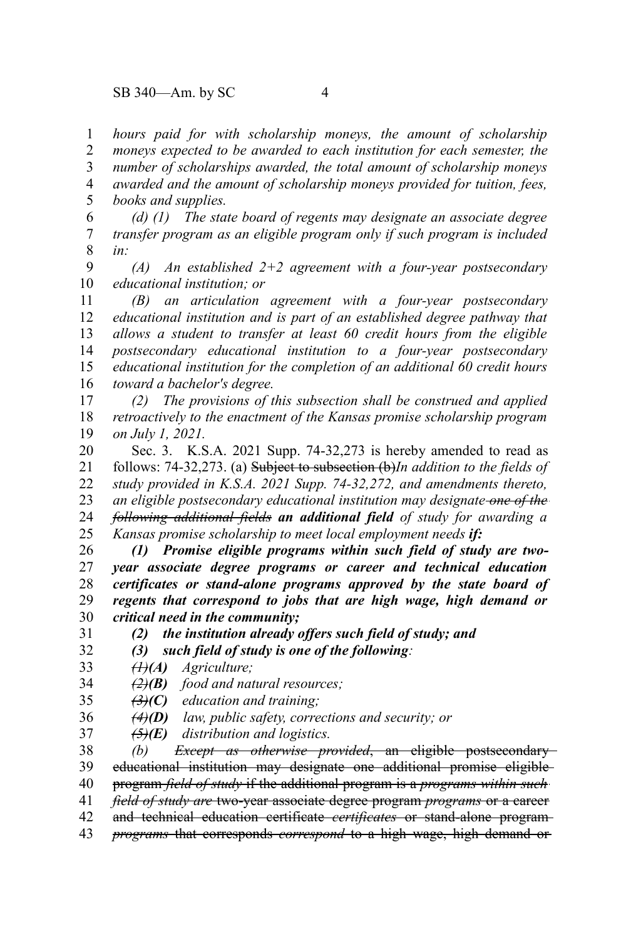*hours paid for with scholarship moneys, the amount of scholarship moneys expected to be awarded to each institution for each semester, the number of scholarships awarded, the total amount of scholarship moneys awarded and the amount of scholarship moneys provided for tuition, fees, books and supplies.* 1 2 3 4 5

*(d) (1) The state board of regents may designate an associate degree transfer program as an eligible program only if such program is included in:* 6 7 8

*(A) An established 2+2 agreement with a four-year postsecondary educational institution; or* 9 10

*(B) an articulation agreement with a four-year postsecondary educational institution and is part of an established degree pathway that allows a student to transfer at least 60 credit hours from the eligible postsecondary educational institution to a four-year postsecondary educational institution for the completion of an additional 60 credit hours toward a bachelor's degree.* 11 12 13 14 15 16

*(2) The provisions of this subsection shall be construed and applied retroactively to the enactment of the Kansas promise scholarship program on July 1, 2021.* 17 18 19

Sec. 3. K.S.A. 2021 Supp. 74-32,273 is hereby amended to read as follows: 74-32,273. (a) Subject to subsection (b)*In addition to the fields of study provided in K.S.A. 2021 Supp. 74-32,272, and amendments thereto, an eligible postsecondary educational institution may designate one of the following additional fields an additional field of study for awarding a Kansas promise scholarship to meet local employment needs if:* 20 21 22 23 24 25

*(1) Promise eligible programs within such field of study are twoyear associate degree programs or career and technical education certificates or stand-alone programs approved by the state board of regents that correspond to jobs that are high wage, high demand or critical need in the community;* 26 27 28 29 30

*(2) the institution already offers such field of study; and*

*(3) such field of study is one of the following:*

*(1)(A) Agriculture;* 33

31 32

*(2)(B) food and natural resources;* 34

- *(3)(C) education and training;* 35
- *(4)(D) law, public safety, corrections and security; or* 36

*(5)(E) distribution and logistics.* 37

*(b) Except as otherwise provided*, an eligible postsecondary educational institution may designate one additional promise eligible 38 39

program *field of study* if the additional program is a *programs within such* 40

*field of study are* two-year associate degree program *programs* or a career 41

and technical education certificate *certificates* or stand-alone program 42

*programs* that corresponds *correspond* to a high wage, high demand or 43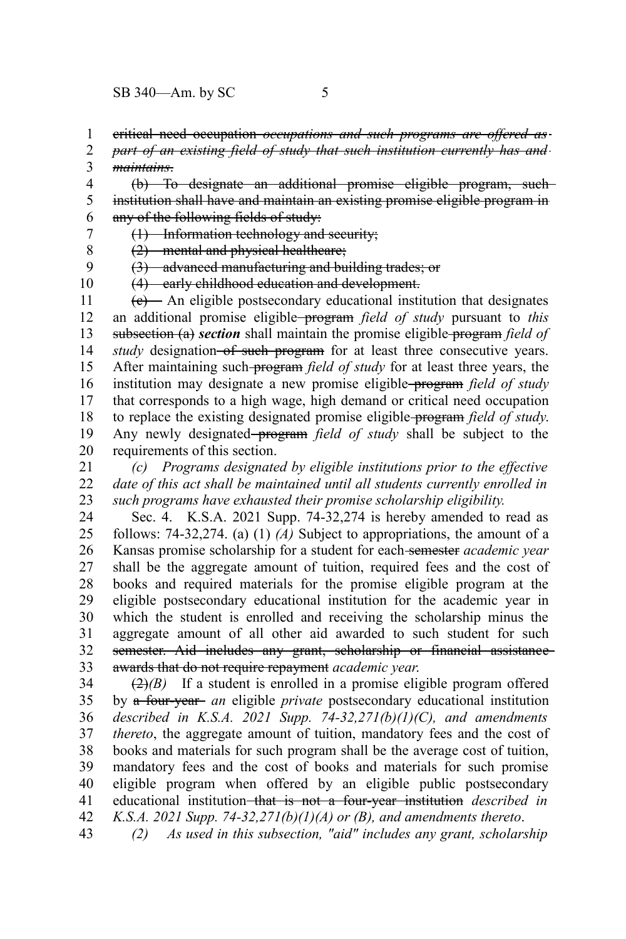critical need occupation *occupations and such programs are offered as* 1

*part of an existing field of study that such institution currently has and maintains*. 2 3

(b) To designate an additional promise eligible program, such institution shall have and maintain an existing promise eligible program in any of the following fields of study: 4 5 6

(1) Information technology and security; 7

(2) mental and physical healthcare; 8

(3) advanced manufacturing and building trades; or 9

10

(4) early childhood education and development.

 $(e)$  An eligible postsecondary educational institution that designates an additional promise eligible program *field of study* pursuant to *this* subsection (a) section shall maintain the promise eligible-program *field of study* designation of such program for at least three consecutive years. After maintaining such program *field of study* for at least three years, the institution may designate a new promise eligible program *field of study* that corresponds to a high wage, high demand or critical need occupation to replace the existing designated promise eligible program *field of study*. Any newly designated–program *field of study* shall be subject to the requirements of this section. 11 12 13 14 15 16 17 18 19 20

*(c) Programs designated by eligible institutions prior to the effective date of this act shall be maintained until all students currently enrolled in such programs have exhausted their promise scholarship eligibility.* 21 22 23

Sec. 4. K.S.A. 2021 Supp. 74-32,274 is hereby amended to read as follows: 74-32,274. (a) (1) *(A)* Subject to appropriations, the amount of a Kansas promise scholarship for a student for each semester *academic year* shall be the aggregate amount of tuition, required fees and the cost of books and required materials for the promise eligible program at the eligible postsecondary educational institution for the academic year in which the student is enrolled and receiving the scholarship minus the aggregate amount of all other aid awarded to such student for such semester. Aid includes any grant, scholarship or financial assistanceawards that do not require repayment *academic year*. 24 25 26 27 28 29 30 31 32 33

 $\left(\frac{2}{2}\right)$  If a student is enrolled in a promise eligible program offered by a four-year *an* eligible *private* postsecondary educational institution *described in K.S.A. 2021 Supp. 74-32,271(b)(1)(C), and amendments thereto*, the aggregate amount of tuition, mandatory fees and the cost of books and materials for such program shall be the average cost of tuition, mandatory fees and the cost of books and materials for such promise eligible program when offered by an eligible public postsecondary educational institution that is not a four-year institution *described in K.S.A. 2021 Supp. 74-32,271(b)(1)(A) or (B), and amendments thereto*. 34 35 36 37 38 39 40 41 42

*(2) As used in this subsection, "aid" includes any grant, scholarship* 43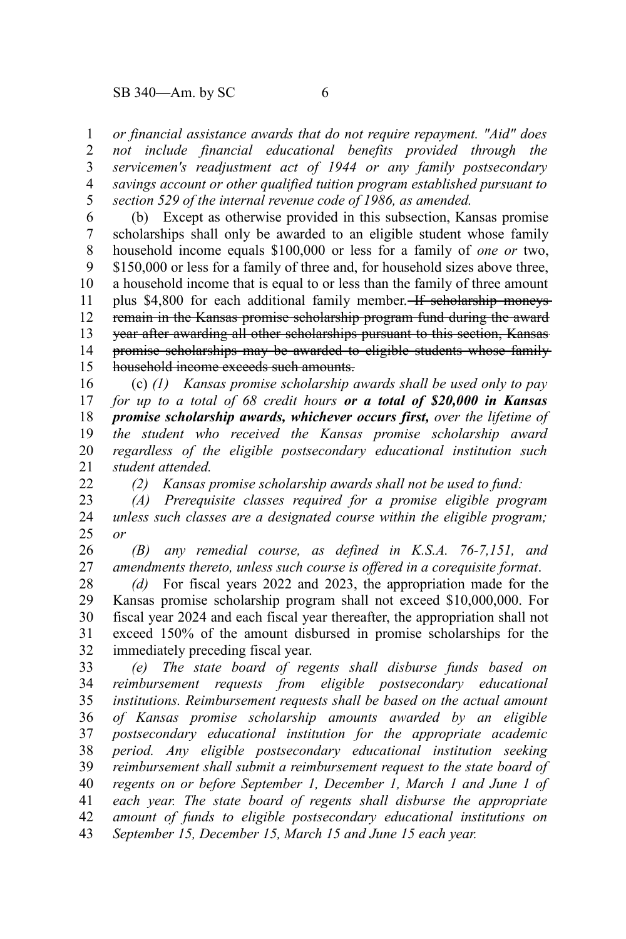## $SB$  340—Am. by SC 6

22

*or financial assistance awards that do not require repayment. "Aid" does not include financial educational benefits provided through the servicemen's readjustment act of 1944 or any family postsecondary savings account or other qualified tuition program established pursuant to section 529 of the internal revenue code of 1986, as amended.* 1 2 3 4 5

(b) Except as otherwise provided in this subsection, Kansas promise scholarships shall only be awarded to an eligible student whose family household income equals \$100,000 or less for a family of *one or* two, \$150,000 or less for a family of three and, for household sizes above three, a household income that is equal to or less than the family of three amount plus \$4,800 for each additional family member. If scholarship moneys remain in the Kansas promise scholarship program fund during the award year after awarding all other scholarships pursuant to this section, Kansas promise scholarships may be awarded to eligible students whose family household income exceeds such amounts. 6 7 8 9 10 11 12 13 14 15

(c) *(1) Kansas promise scholarship awards shall be used only to pay for up to a total of 68 credit hours or a total of \$20,000 in Kansas promise scholarship awards, whichever occurs first, over the lifetime of the student who received the Kansas promise scholarship award regardless of the eligible postsecondary educational institution such student attended.* 16 17 18 19 20 21

*(2) Kansas promise scholarship awards shall not be used to fund:*

*(A) Prerequisite classes required for a promise eligible program unless such classes are a designated course within the eligible program; or* 23 24 25

*(B) any remedial course, as defined in K.S.A. 76-7,151, and amendments thereto, unless such course is offered in a corequisite format*. 26 27

*(d)* For fiscal years 2022 and 2023, the appropriation made for the Kansas promise scholarship program shall not exceed \$10,000,000. For fiscal year 2024 and each fiscal year thereafter, the appropriation shall not exceed 150% of the amount disbursed in promise scholarships for the immediately preceding fiscal year. 28 29 30 31 32

*(e) The state board of regents shall disburse funds based on reimbursement requests from eligible postsecondary educational institutions. Reimbursement requests shall be based on the actual amount of Kansas promise scholarship amounts awarded by an eligible postsecondary educational institution for the appropriate academic period. Any eligible postsecondary educational institution seeking reimbursement shall submit a reimbursement request to the state board of regents on or before September 1, December 1, March 1 and June 1 of each year. The state board of regents shall disburse the appropriate amount of funds to eligible postsecondary educational institutions on September 15, December 15, March 15 and June 15 each year.* 33 34 35 36 37 38 39 40 41 42 43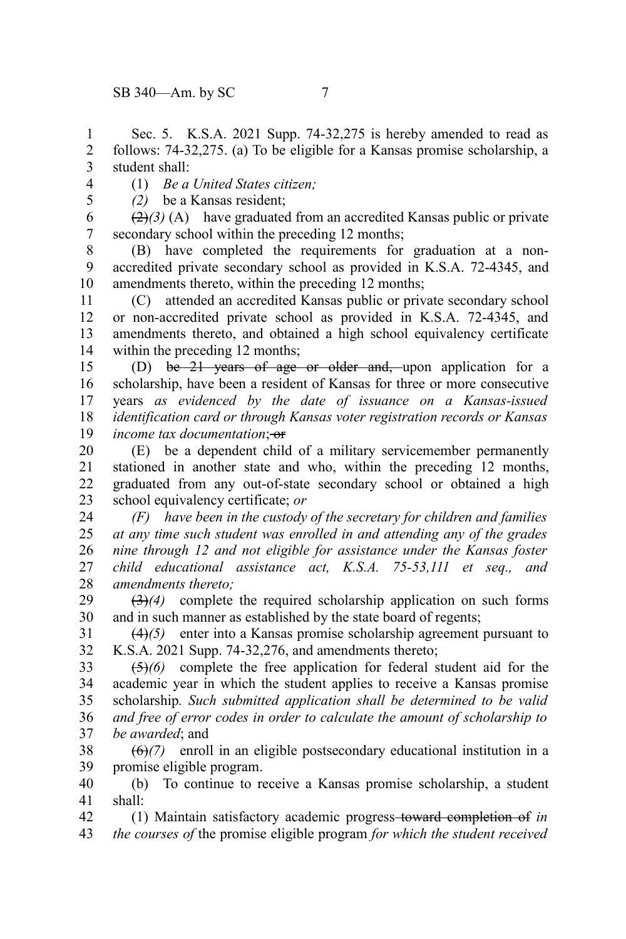Sec. 5. K.S.A. 2021 Supp. 74-32,275 is hereby amended to read as follows: 74-32,275. (a) To be eligible for a Kansas promise scholarship, a student shall: 1 2 3

4 5

(1) *Be a United States citizen;*

*(2)* be a Kansas resident;

 $\left(\frac{2}{2}\right)$  (A) have graduated from an accredited Kansas public or private secondary school within the preceding 12 months; 6 7

(B) have completed the requirements for graduation at a nonaccredited private secondary school as provided in K.S.A. 72-4345, and amendments thereto, within the preceding 12 months; 8 9 10

(C) attended an accredited Kansas public or private secondary school or non-accredited private school as provided in K.S.A. 72-4345, and amendments thereto, and obtained a high school equivalency certificate within the preceding 12 months; 11 12 13 14

(D) be 21 years of age or older and, upon application for a scholarship, have been a resident of Kansas for three or more consecutive years *as evidenced by the date of issuance on a Kansas-issued identification card or through Kansas voter registration records or Kansas income tax documentation*:  $\theta$ <sup>*+</sup>*</sup> 15 16 17 18 19

(E) be a dependent child of a military servicemember permanently stationed in another state and who, within the preceding 12 months, graduated from any out-of-state secondary school or obtained a high school equivalency certificate; *or* 20 21 22 23

*(F) have been in the custody of the secretary for children and families at any time such student was enrolled in and attending any of the grades nine through 12 and not eligible for assistance under the Kansas foster child educational assistance act, K.S.A. 75-53,111 et seq., and amendments thereto;* 24 25 26 27 28

(3)*(4)* complete the required scholarship application on such forms and in such manner as established by the state board of regents; 29 30

(4)*(5)* enter into a Kansas promise scholarship agreement pursuant to K.S.A. 2021 Supp. 74-32,276, and amendments thereto; 31 32

(5)*(6)* complete the free application for federal student aid for the academic year in which the student applies to receive a Kansas promise scholarship*. Such submitted application shall be determined to be valid and free of error codes in order to calculate the amount of scholarship to be awarded*; and 33 34 35 36 37

(6)*(7)* enroll in an eligible postsecondary educational institution in a promise eligible program. 38 39

(b) To continue to receive a Kansas promise scholarship, a student shall: 40 41

(1) Maintain satisfactory academic progress toward completion of *in the courses of* the promise eligible program *for which the student received* 42 43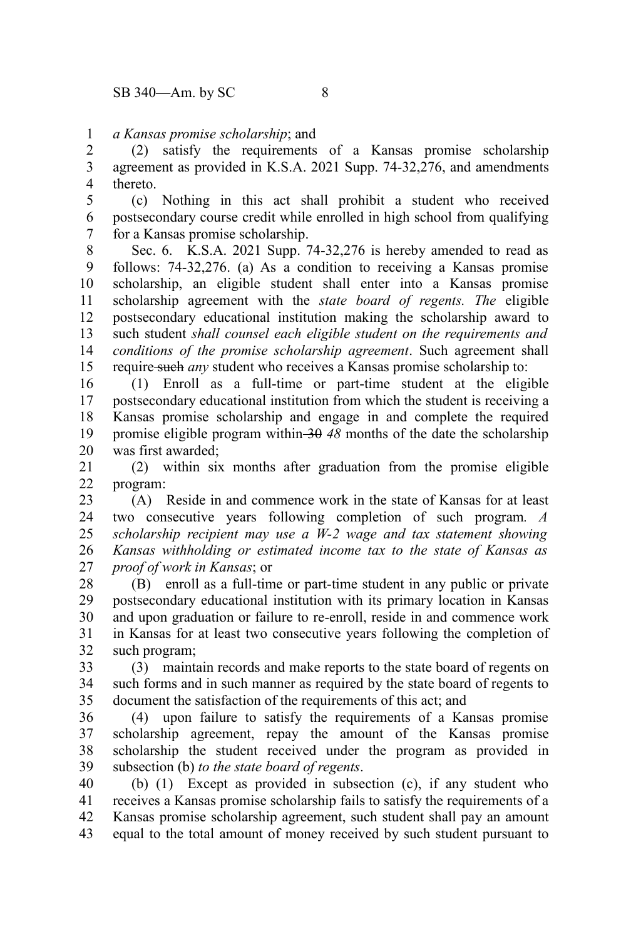*a Kansas promise scholarship*; and 1

(2) satisfy the requirements of a Kansas promise scholarship agreement as provided in K.S.A. 2021 Supp. 74-32,276, and amendments thereto. 2 3 4

(c) Nothing in this act shall prohibit a student who received postsecondary course credit while enrolled in high school from qualifying for a Kansas promise scholarship. 5 6 7

Sec. 6. K.S.A. 2021 Supp. 74-32,276 is hereby amended to read as follows: 74-32,276. (a) As a condition to receiving a Kansas promise scholarship, an eligible student shall enter into a Kansas promise scholarship agreement with the *state board of regents. The* eligible postsecondary educational institution making the scholarship award to such student *shall counsel each eligible student on the requirements and conditions of the promise scholarship agreement*. Such agreement shall require such *any* student who receives a Kansas promise scholarship to: 8 9 10 11 12 13 14 15

(1) Enroll as a full-time or part-time student at the eligible postsecondary educational institution from which the student is receiving a Kansas promise scholarship and engage in and complete the required promise eligible program within 30 *48* months of the date the scholarship was first awarded; 16 17 18 19 20

(2) within six months after graduation from the promise eligible program: 21 22

(A) Reside in and commence work in the state of Kansas for at least two consecutive years following completion of such program*. A scholarship recipient may use a W-2 wage and tax statement showing Kansas withholding or estimated income tax to the state of Kansas as proof of work in Kansas*; or 23 24 25 26 27

(B) enroll as a full-time or part-time student in any public or private postsecondary educational institution with its primary location in Kansas and upon graduation or failure to re-enroll, reside in and commence work in Kansas for at least two consecutive years following the completion of such program; 28 29 30 31 32

(3) maintain records and make reports to the state board of regents on such forms and in such manner as required by the state board of regents to document the satisfaction of the requirements of this act; and 33 34 35

(4) upon failure to satisfy the requirements of a Kansas promise scholarship agreement, repay the amount of the Kansas promise scholarship the student received under the program as provided in subsection (b) *to the state board of regents*. 36 37 38 39

(b) (1) Except as provided in subsection (c), if any student who receives a Kansas promise scholarship fails to satisfy the requirements of a Kansas promise scholarship agreement, such student shall pay an amount equal to the total amount of money received by such student pursuant to 40 41 42 43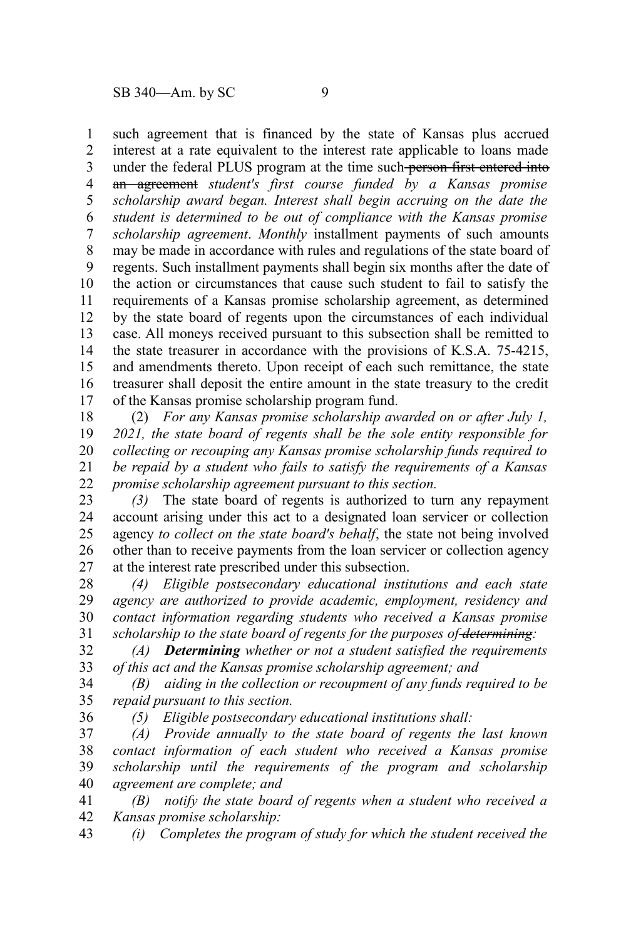36

such agreement that is financed by the state of Kansas plus accrued interest at a rate equivalent to the interest rate applicable to loans made under the federal PLUS program at the time such person first entered into an agreement *student's first course funded by a Kansas promise scholarship award began. Interest shall begin accruing on the date the student is determined to be out of compliance with the Kansas promise scholarship agreement*. *Monthly* installment payments of such amounts may be made in accordance with rules and regulations of the state board of regents. Such installment payments shall begin six months after the date of the action or circumstances that cause such student to fail to satisfy the requirements of a Kansas promise scholarship agreement, as determined by the state board of regents upon the circumstances of each individual case. All moneys received pursuant to this subsection shall be remitted to the state treasurer in accordance with the provisions of K.S.A. 75-4215, and amendments thereto. Upon receipt of each such remittance, the state treasurer shall deposit the entire amount in the state treasury to the credit of the Kansas promise scholarship program fund. 1 2 3 4 5 6 7 8 9 10 11 12 13 14 15 16 17

(2) *For any Kansas promise scholarship awarded on or after July 1, 2021, the state board of regents shall be the sole entity responsible for collecting or recouping any Kansas promise scholarship funds required to be repaid by a student who fails to satisfy the requirements of a Kansas promise scholarship agreement pursuant to this section.* 18 19 20 21 22

*(3)* The state board of regents is authorized to turn any repayment account arising under this act to a designated loan servicer or collection agency *to collect on the state board's behalf*, the state not being involved other than to receive payments from the loan servicer or collection agency at the interest rate prescribed under this subsection. 23 24 25 26 27

*(4) Eligible postsecondary educational institutions and each state agency are authorized to provide academic, employment, residency and contact information regarding students who received a Kansas promise scholarship to the state board of regents for the purposes of determining:* 28 29 30 31

*(A) Determining whether or not a student satisfied the requirements of this act and the Kansas promise scholarship agreement; and* 32 33

*(B) aiding in the collection or recoupment of any funds required to be repaid pursuant to this section.* 34 35

*(5) Eligible postsecondary educational institutions shall:*

*(A) Provide annually to the state board of regents the last known contact information of each student who received a Kansas promise scholarship until the requirements of the program and scholarship agreement are complete; and* 37 38 39 40

*(B) notify the state board of regents when a student who received a Kansas promise scholarship:* 41 42

*(i) Completes the program of study for which the student received the* 43